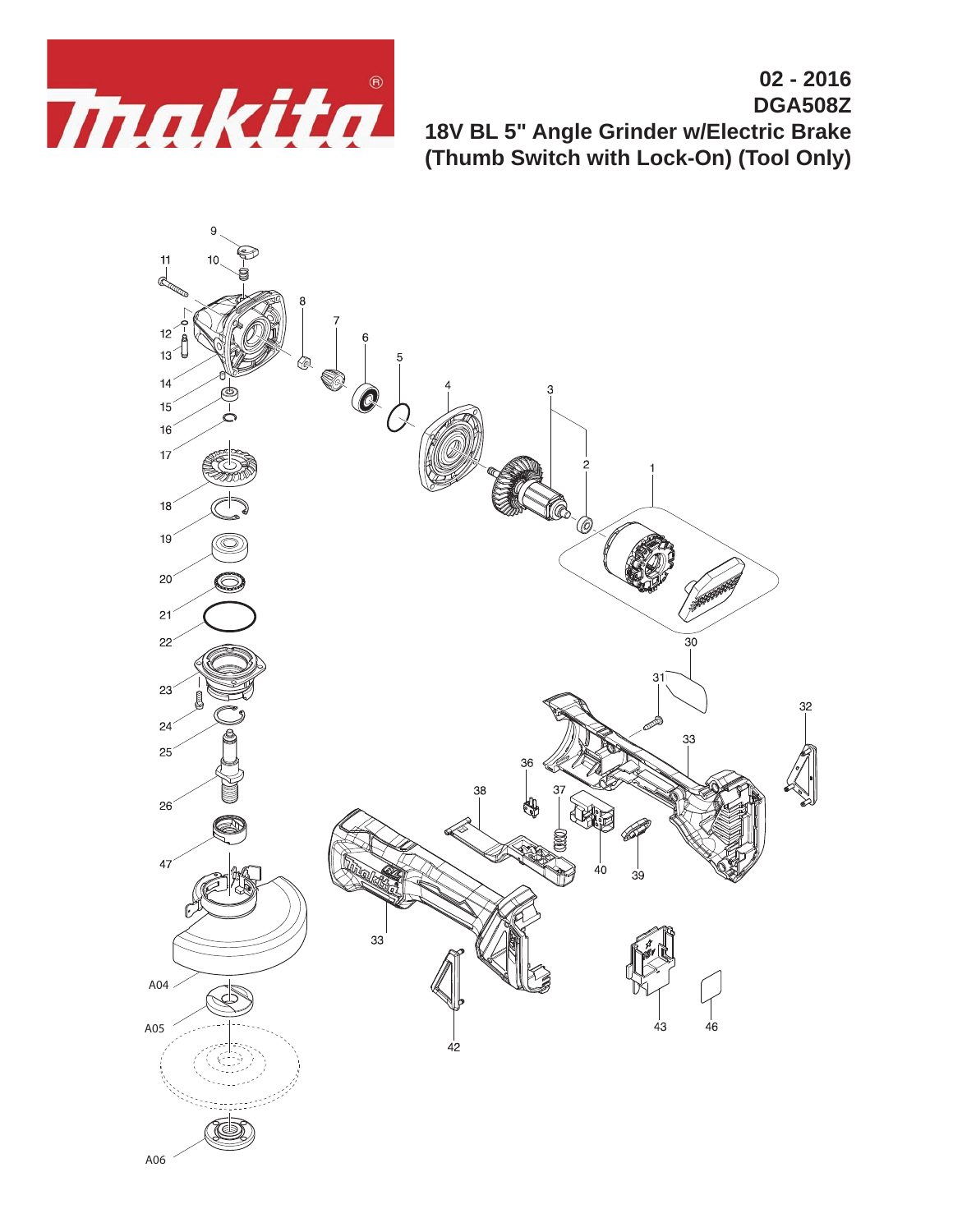

**02 - 2016 DGA508Z 18V BL 5" Angle Grinder w/Electric Brake (Thumb Switch with Lock-On) (Tool Only)**

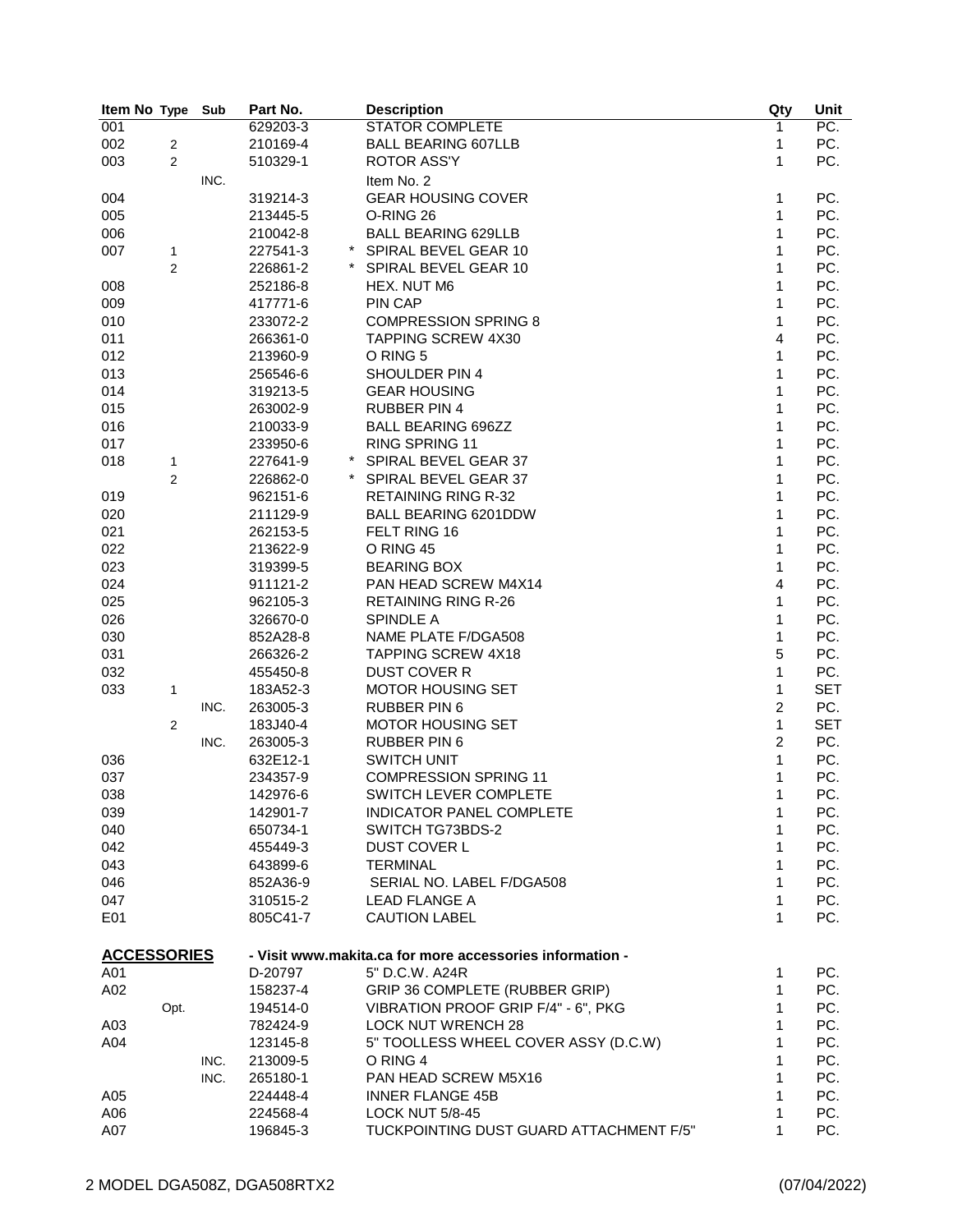| Item No Type       |                | Sub  | Part No. | <b>Description</b>                                       | Qty            | Unit       |
|--------------------|----------------|------|----------|----------------------------------------------------------|----------------|------------|
| 001                |                |      | 629203-3 | <b>STATOR COMPLETE</b>                                   | 1              | PC.        |
| 002                | $\overline{2}$ |      | 210169-4 | <b>BALL BEARING 607LLB</b>                               | 1              | PC.        |
| 003                | 2              |      | 510329-1 | <b>ROTOR ASS'Y</b>                                       | 1              | PC.        |
|                    |                | INC. |          | Item No. 2                                               |                |            |
| 004                |                |      | 319214-3 | <b>GEAR HOUSING COVER</b>                                | 1              | PC.        |
| 005                |                |      | 213445-5 | O-RING 26                                                | 1              | PC.        |
| 006                |                |      | 210042-8 | <b>BALL BEARING 629LLB</b>                               | 1              | PC.        |
| 007                | 1              |      | 227541-3 | SPIRAL BEVEL GEAR 10                                     | 1              | PC.        |
|                    | 2              |      | 226861-2 | SPIRAL BEVEL GEAR 10                                     | 1              | PC.        |
| 008                |                |      | 252186-8 | HEX. NUT M6                                              | 1              | PC.        |
| 009                |                |      | 417771-6 | PIN CAP                                                  | 1              | PC.        |
|                    |                |      |          |                                                          | 1              |            |
| 010                |                |      | 233072-2 | <b>COMPRESSION SPRING 8</b>                              |                | PC.        |
| 011                |                |      | 266361-0 | TAPPING SCREW 4X30                                       | 4              | PC.        |
| 012                |                |      | 213960-9 | O RING 5                                                 | 1              | PC.        |
| 013                |                |      | 256546-6 | SHOULDER PIN 4                                           | 1              | PC.        |
| 014                |                |      | 319213-5 | <b>GEAR HOUSING</b>                                      | $\mathbf{1}$   | PC.        |
| 015                |                |      | 263002-9 | <b>RUBBER PIN 4</b>                                      | 1              | PC.        |
| 016                |                |      | 210033-9 | <b>BALL BEARING 696ZZ</b>                                | $\mathbf{1}$   | PC.        |
| 017                |                |      | 233950-6 | RING SPRING 11                                           | 1              | PC.        |
| 018                | 1              |      | 227641-9 | SPIRAL BEVEL GEAR 37                                     | 1              | PC.        |
|                    | $\overline{2}$ |      | 226862-0 | SPIRAL BEVEL GEAR 37                                     | 1              | PC.        |
| 019                |                |      | 962151-6 | <b>RETAINING RING R-32</b>                               | 1              | PC.        |
| 020                |                |      | 211129-9 | <b>BALL BEARING 6201DDW</b>                              | 1              | PC.        |
| 021                |                |      | 262153-5 | FELT RING 16                                             | 1              | PC.        |
| 022                |                |      | 213622-9 | O RING 45                                                | 1              | PC.        |
| 023                |                |      | 319399-5 | <b>BEARING BOX</b>                                       | 1              | PC.        |
| 024                |                |      | 911121-2 | PAN HEAD SCREW M4X14                                     | 4              | PC.        |
| 025                |                |      | 962105-3 | <b>RETAINING RING R-26</b>                               | 1              | PC.        |
| 026                |                |      | 326670-0 | SPINDLE A                                                | 1              | PC.        |
| 030                |                |      | 852A28-8 | NAME PLATE F/DGA508                                      | 1              | PC.        |
| 031                |                |      | 266326-2 | <b>TAPPING SCREW 4X18</b>                                | 5              | PC.        |
|                    |                |      |          |                                                          |                |            |
| 032                |                |      | 455450-8 | <b>DUST COVER R</b>                                      | $\mathbf{1}$   | PC.        |
| 033                | 1              |      | 183A52-3 | <b>MOTOR HOUSING SET</b>                                 | 1              | <b>SET</b> |
|                    |                | INC. | 263005-3 | <b>RUBBER PIN 6</b>                                      | $\overline{c}$ | PC.        |
|                    | 2              |      | 183J40-4 | <b>MOTOR HOUSING SET</b>                                 | 1              | <b>SET</b> |
|                    |                | INC. | 263005-3 | <b>RUBBER PIN 6</b>                                      | 2              | PC.        |
| 036                |                |      | 632E12-1 | <b>SWITCH UNIT</b>                                       | 1              | PC.        |
| 037                |                |      | 234357-9 | <b>COMPRESSION SPRING 11</b>                             | 1              | PC.        |
| 038                |                |      | 142976-6 | SWITCH LEVER COMPLETE                                    | 1              | PC.        |
| 039                |                |      | 142901-7 | <b>INDICATOR PANEL COMPLETE</b>                          | 1              | PC.        |
| 040                |                |      | 650734-1 | SWITCH TG73BDS-2                                         | 1              | PC.        |
| 042                |                |      | 455449-3 | DUST COVER L                                             | 1              | PC.        |
| 043                |                |      | 643899-6 | <b>TERMINAL</b>                                          | 1              | PC.        |
| 046                |                |      | 852A36-9 | SERIAL NO. LABEL F/DGA508                                | 1              | PC.        |
| 047                |                |      | 310515-2 | <b>LEAD FLANGE A</b>                                     | 1              | PC.        |
| E01                |                |      | 805C41-7 | <b>CAUTION LABEL</b>                                     | 1              | PC.        |
| <b>ACCESSORIES</b> |                |      |          | - Visit www.makita.ca for more accessories information - |                |            |
| A01                |                |      | D-20797  | 5" D.C.W. A24R                                           | 1              | PC.        |
| A02                |                |      | 158237-4 | GRIP 36 COMPLETE (RUBBER GRIP)                           | 1              | PC.        |
|                    | Opt.           |      | 194514-0 | VIBRATION PROOF GRIP F/4" - 6", PKG                      | 1              | PC.        |
| A03                |                |      | 782424-9 | <b>LOCK NUT WRENCH 28</b>                                | 1              | PC.        |
| A04                |                |      | 123145-8 | 5" TOOLLESS WHEEL COVER ASSY (D.C.W)                     | 1              | PC.        |
|                    |                | INC. | 213009-5 | O RING 4                                                 | 1              | PC.        |
|                    |                | INC. | 265180-1 | PAN HEAD SCREW M5X16                                     | 1              | PC.        |
| A05                |                |      | 224448-4 | <b>INNER FLANGE 45B</b>                                  | 1              | PC.        |
| A06                |                |      | 224568-4 | <b>LOCK NUT 5/8-45</b>                                   | 1              | PC.        |
| A07                |                |      | 196845-3 | TUCKPOINTING DUST GUARD ATTACHMENT F/5"                  | 1              | PC.        |
|                    |                |      |          |                                                          |                |            |